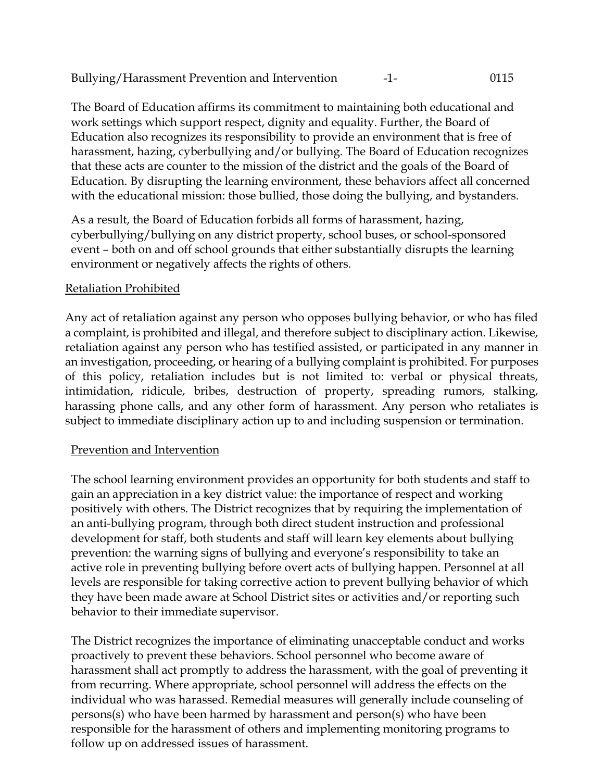The Board of Education affirms its commitment to maintaining both educational and work settings which support respect, dignity and equality. Further, the Board of Education also recognizes its responsibility to provide an environment that is free of harassment, hazing, cyberbullying and/or bullying. The Board of Education recognizes that these acts are counter to the mission of the district and the goals of the Board of Education. By disrupting the learning environment, these behaviors affect all concerned with the educational mission: those bullied, those doing the bullying, and bystanders.

As a result, the Board of Education forbids all forms of harassment, hazing, cyberbullying/bullying on any district property, school buses, or school-sponsored event – both on and off school grounds that either substantially disrupts the learning environment or negatively affects the rights of others.

### Retaliation Prohibited

Any act of retaliation against any person who opposes bullying behavior, or who has filed a complaint, is prohibited and illegal, and therefore subject to disciplinary action. Likewise, retaliation against any person who has testified assisted, or participated in any manner in an investigation, proceeding, or hearing of a bullying complaint is prohibited. For purposes of this policy, retaliation includes but is not limited to: verbal or physical threats, intimidation, ridicule, bribes, destruction of property, spreading rumors, stalking, harassing phone calls, and any other form of harassment. Any person who retaliates is subject to immediate disciplinary action up to and including suspension or termination.

#### Prevention and Intervention

The school learning environment provides an opportunity for both students and staff to gain an appreciation in a key district value: the importance of respect and working positively with others. The District recognizes that by requiring the implementation of an anti-bullying program, through both direct student instruction and professional development for staff, both students and staff will learn key elements about bullying prevention: the warning signs of bullying and everyone's responsibility to take an active role in preventing bullying before overt acts of bullying happen. Personnel at all levels are responsible for taking corrective action to prevent bullying behavior of which they have been made aware at School District sites or activities and/or reporting such behavior to their immediate supervisor.

The District recognizes the importance of eliminating unacceptable conduct and works proactively to prevent these behaviors. School personnel who become aware of harassment shall act promptly to address the harassment, with the goal of preventing it from recurring. Where appropriate, school personnel will address the effects on the individual who was harassed. Remedial measures will generally include counseling of persons(s) who have been harmed by harassment and person(s) who have been responsible for the harassment of others and implementing monitoring programs to follow up on addressed issues of harassment.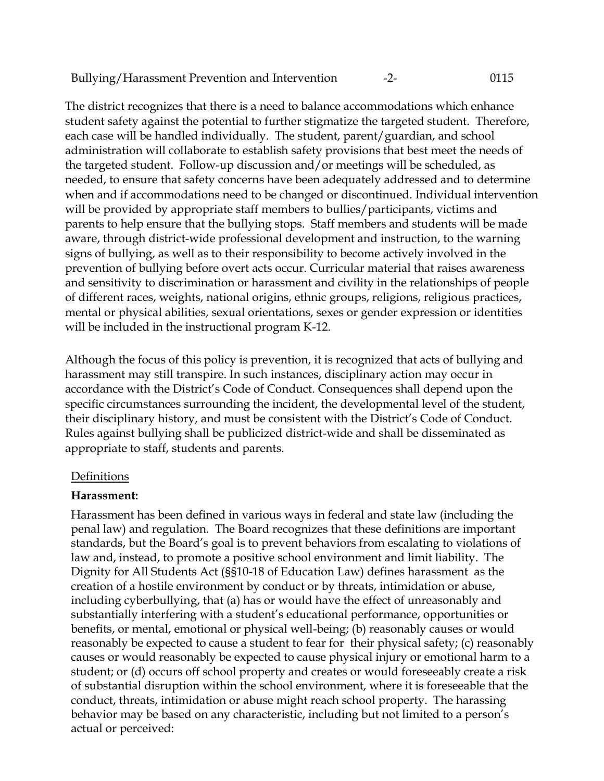Bullying/Harassment Prevention and Intervention -2- 0115

The district recognizes that there is a need to balance accommodations which enhance student safety against the potential to further stigmatize the targeted student. Therefore, each case will be handled individually. The student, parent/guardian, and school administration will collaborate to establish safety provisions that best meet the needs of the targeted student. Follow-up discussion and/or meetings will be scheduled, as needed, to ensure that safety concerns have been adequately addressed and to determine when and if accommodations need to be changed or discontinued. Individual intervention will be provided by appropriate staff members to bullies/participants, victims and parents to help ensure that the bullying stops. Staff members and students will be made aware, through district-wide professional development and instruction, to the warning signs of bullying, as well as to their responsibility to become actively involved in the prevention of bullying before overt acts occur. Curricular material that raises awareness and sensitivity to discrimination or harassment and civility in the relationships of people of different races, weights, national origins, ethnic groups, religions, religious practices, mental or physical abilities, sexual orientations, sexes or gender expression or identities will be included in the instructional program K-12.

Although the focus of this policy is prevention, it is recognized that acts of bullying and harassment may still transpire. In such instances, disciplinary action may occur in accordance with the District's Code of Conduct. Consequences shall depend upon the specific circumstances surrounding the incident, the developmental level of the student, their disciplinary history, and must be consistent with the District's Code of Conduct. Rules against bullying shall be publicized district-wide and shall be disseminated as appropriate to staff, students and parents.

#### **Definitions**

#### **Harassment:**

Harassment has been defined in various ways in federal and state law (including the penal law) and regulation. The Board recognizes that these definitions are important standards, but the Board's goal is to prevent behaviors from escalating to violations of law and, instead, to promote a positive school environment and limit liability. The Dignity for All Students Act (§§10-18 of Education Law) defines harassment as the creation of a hostile environment by conduct or by threats, intimidation or abuse, including cyberbullying, that (a) has or would have the effect of unreasonably and substantially interfering with a student's educational performance, opportunities or benefits, or mental, emotional or physical well-being; (b) reasonably causes or would reasonably be expected to cause a student to fear for their physical safety; (c) reasonably causes or would reasonably be expected to cause physical injury or emotional harm to a student; or (d) occurs off school property and creates or would foreseeably create a risk of substantial disruption within the school environment, where it is foreseeable that the conduct, threats, intimidation or abuse might reach school property. The harassing behavior may be based on any characteristic, including but not limited to a person's actual or perceived: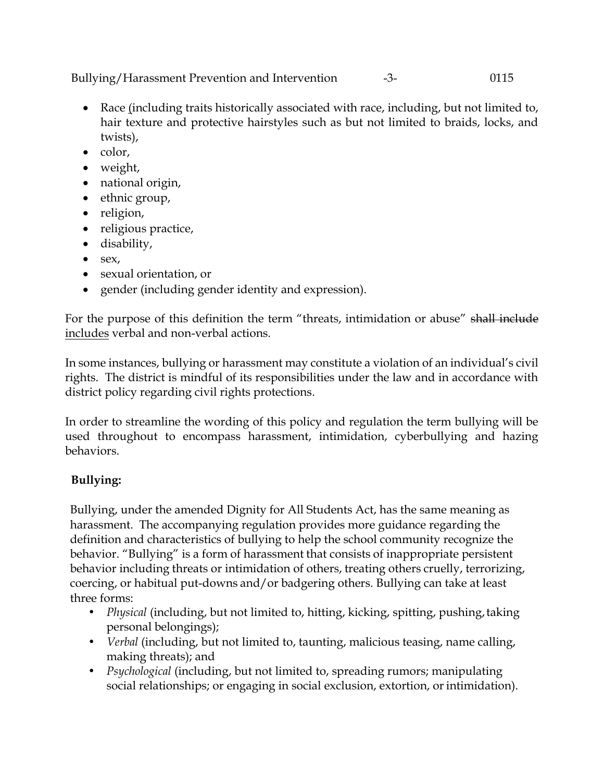Bullying/Harassment Prevention and Intervention -3- 0115

- Race (including traits historically associated with race, including, but not limited to, hair texture and protective hairstyles such as but not limited to braids, locks, and twists),
- color,
- weight,
- national origin,
- ethnic group,
- religion,
- religious practice,
- disability,
- $\bullet$  sex,
- sexual orientation, or
- gender (including gender identity and expression).

For the purpose of this definition the term "threats, intimidation or abuse" shall include includes verbal and non-verbal actions.

In some instances, bullying or harassment may constitute a violation of an individual's civil rights. The district is mindful of its responsibilities under the law and in accordance with district policy regarding civil rights protections.

In order to streamline the wording of this policy and regulation the term bullying will be used throughout to encompass harassment, intimidation, cyberbullying and hazing behaviors.

# **Bullying:**

Bullying, under the amended Dignity for All Students Act, has the same meaning as harassment. The accompanying regulation provides more guidance regarding the definition and characteristics of bullying to help the school community recognize the behavior. "Bullying" is a form of harassment that consists of inappropriate persistent behavior including threats or intimidation of others, treating others cruelly, terrorizing, coercing, or habitual put-downs and/or badgering others. Bullying can take at least three forms:

- *Physical* (including, but not limited to, hitting, kicking, spitting, pushing, taking personal belongings);
- *Verbal* (including, but not limited to, taunting, malicious teasing, name calling, making threats); and
- *Psychological* (including, but not limited to, spreading rumors; manipulating social relationships; or engaging in social exclusion, extortion, or intimidation).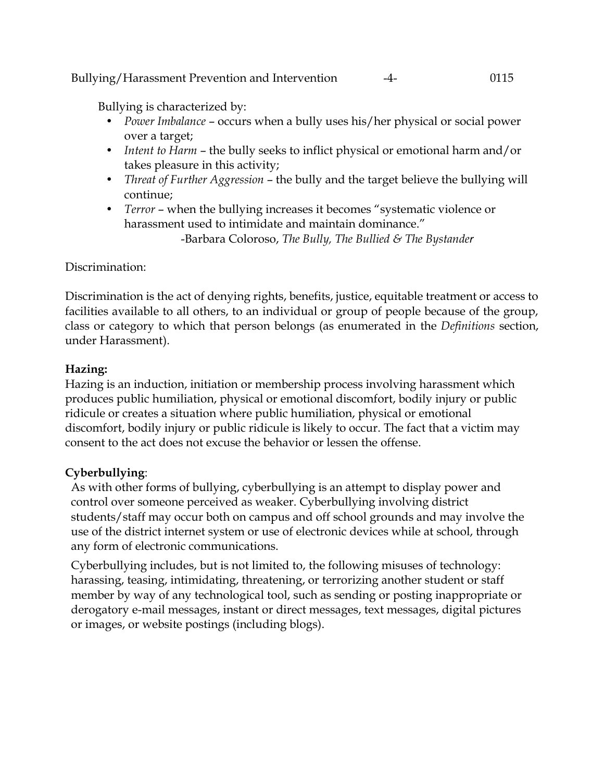Bullying/Harassment Prevention and Intervention -4- 0115

Bullying is characterized by:

- *Power Imbalance*  occurs when a bully uses his/her physical or social power over a target;
- *Intent to Harm*  the bully seeks to inflict physical or emotional harm and/or takes pleasure in this activity;
- *Threat of Further Aggression*  the bully and the target believe the bullying will continue;
- *Terror*  when the bullying increases it becomes "systematic violence or harassment used to intimidate and maintain dominance."

-Barbara Coloroso, *The Bully, The Bullied & The Bystander*

### Discrimination:

Discrimination is the act of denying rights, benefits, justice, equitable treatment or access to facilities available to all others, to an individual or group of people because of the group, class or category to which that person belongs (as enumerated in the *Definitions* section, under Harassment).

### **Hazing:**

Hazing is an induction, initiation or membership process involving harassment which produces public humiliation, physical or emotional discomfort, bodily injury or public ridicule or creates a situation where public humiliation, physical or emotional discomfort, bodily injury or public ridicule is likely to occur. The fact that a victim may consent to the act does not excuse the behavior or lessen the offense.

# **Cyberbullying**:

As with other forms of bullying, cyberbullying is an attempt to display power and control over someone perceived as weaker. Cyberbullying involving district students/staff may occur both on campus and off school grounds and may involve the use of the district internet system or use of electronic devices while at school, through any form of electronic communications.

Cyberbullying includes, but is not limited to, the following misuses of technology: harassing, teasing, intimidating, threatening, or terrorizing another student or staff member by way of any technological tool, such as sending or posting inappropriate or derogatory e-mail messages, instant or direct messages, text messages, digital pictures or images, or website postings (including blogs).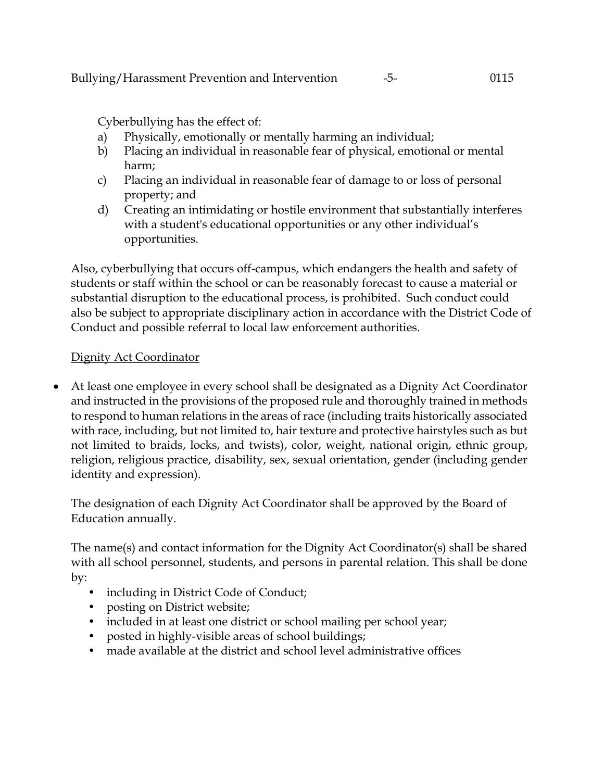Cyberbullying has the effect of:

- a) Physically, emotionally or mentally harming an individual;
- b) Placing an individual in reasonable fear of physical, emotional or mental harm;
- c) Placing an individual in reasonable fear of damage to or loss of personal property; and
- d) Creating an intimidating or hostile environment that substantially interferes with a student's educational opportunities or any other individual's opportunities.

Also, cyberbullying that occurs off-campus, which endangers the health and safety of students or staff within the school or can be reasonably forecast to cause a material or substantial disruption to the educational process, is prohibited. Such conduct could also be subject to appropriate disciplinary action in accordance with the District Code of Conduct and possible referral to local law enforcement authorities.

# Dignity Act Coordinator

 At least one employee in every school shall be designated as a Dignity Act Coordinator and instructed in the provisions of the proposed rule and thoroughly trained in methods to respond to human relations in the areas of race (including traits historically associated with race, including, but not limited to, hair texture and protective hairstyles such as but not limited to braids, locks, and twists), color, weight, national origin, ethnic group, religion, religious practice, disability, sex, sexual orientation, gender (including gender identity and expression).

The designation of each Dignity Act Coordinator shall be approved by the Board of Education annually.

The name(s) and contact information for the Dignity Act Coordinator(s) shall be shared with all school personnel, students, and persons in parental relation. This shall be done by:

- including in District Code of Conduct;
- posting on District website;
- included in at least one district or school mailing per school year;
- posted in highly-visible areas of school buildings;
- made available at the district and school level administrative offices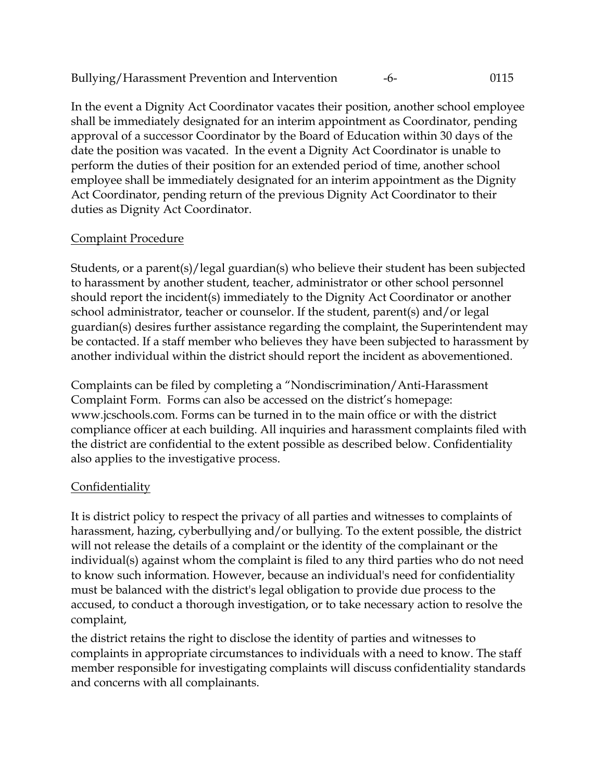Bullying/Harassment Prevention and Intervention -6- 0115

In the event a Dignity Act Coordinator vacates their position, another school employee shall be immediately designated for an interim appointment as Coordinator, pending approval of a successor Coordinator by the Board of Education within 30 days of the date the position was vacated. In the event a Dignity Act Coordinator is unable to perform the duties of their position for an extended period of time, another school employee shall be immediately designated for an interim appointment as the Dignity Act Coordinator, pending return of the previous Dignity Act Coordinator to their duties as Dignity Act Coordinator.

# Complaint Procedure

Students, or a parent(s)/legal guardian(s) who believe their student has been subjected to harassment by another student, teacher, administrator or other school personnel should report the incident(s) immediately to the Dignity Act Coordinator or another school administrator, teacher or counselor. If the student, parent(s) and/or legal guardian(s) desires further assistance regarding the complaint, the Superintendent may be contacted. If a staff member who believes they have been subjected to harassment by another individual within the district should report the incident as abovementioned.

Complaints can be filed by completing a "Nondiscrimination/Anti-Harassment Complaint Form. Forms can also be accessed on the district's homepage: [www.jcschools.com.](http://www.jcschools.com/) Forms can be turned in to the main office or with the district compliance officer at each building. All inquiries and harassment complaints filed with the district are confidential to the extent possible as described below. Confidentiality also applies to the investigative process.

# **Confidentiality**

It is district policy to respect the privacy of all parties and witnesses to complaints of harassment, hazing, cyberbullying and/or bullying. To the extent possible, the district will not release the details of a complaint or the identity of the complainant or the individual(s) against whom the complaint is filed to any third parties who do not need to know such information. However, because an individual's need for confidentiality must be balanced with the district's legal obligation to provide due process to the accused, to conduct a thorough investigation, or to take necessary action to resolve the complaint,

the district retains the right to disclose the identity of parties and witnesses to complaints in appropriate circumstances to individuals with a need to know. The staff member responsible for investigating complaints will discuss confidentiality standards and concerns with all complainants.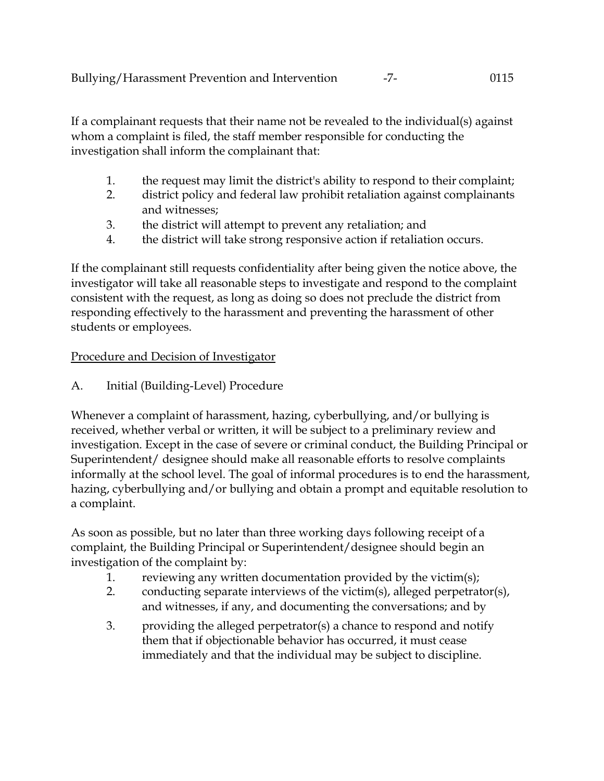If a complainant requests that their name not be revealed to the individual(s) against whom a complaint is filed, the staff member responsible for conducting the investigation shall inform the complainant that:

- 1. the request may limit the district's ability to respond to their complaint;
- 2. district policy and federal law prohibit retaliation against complainants and witnesses;
- 3. the district will attempt to prevent any retaliation; and
- 4. the district will take strong responsive action if retaliation occurs.

If the complainant still requests confidentiality after being given the notice above, the investigator will take all reasonable steps to investigate and respond to the complaint consistent with the request, as long as doing so does not preclude the district from responding effectively to the harassment and preventing the harassment of other students or employees.

# Procedure and Decision of Investigator

A. Initial (Building-Level) Procedure

Whenever a complaint of harassment, hazing, cyberbullying, and/or bullying is received, whether verbal or written, it will be subject to a preliminary review and investigation. Except in the case of severe or criminal conduct, the Building Principal or Superintendent/ designee should make all reasonable efforts to resolve complaints informally at the school level. The goal of informal procedures is to end the harassment, hazing, cyberbullying and/or bullying and obtain a prompt and equitable resolution to a complaint.

As soon as possible, but no later than three working days following receipt of a complaint, the Building Principal or Superintendent/designee should begin an investigation of the complaint by:

- 1. reviewing any written documentation provided by the victim(s);
- 2. conducting separate interviews of the victim(s), alleged perpetrator(s), and witnesses, if any, and documenting the conversations; and by
- 3. providing the alleged perpetrator(s) a chance to respond and notify them that if objectionable behavior has occurred, it must cease immediately and that the individual may be subject to discipline.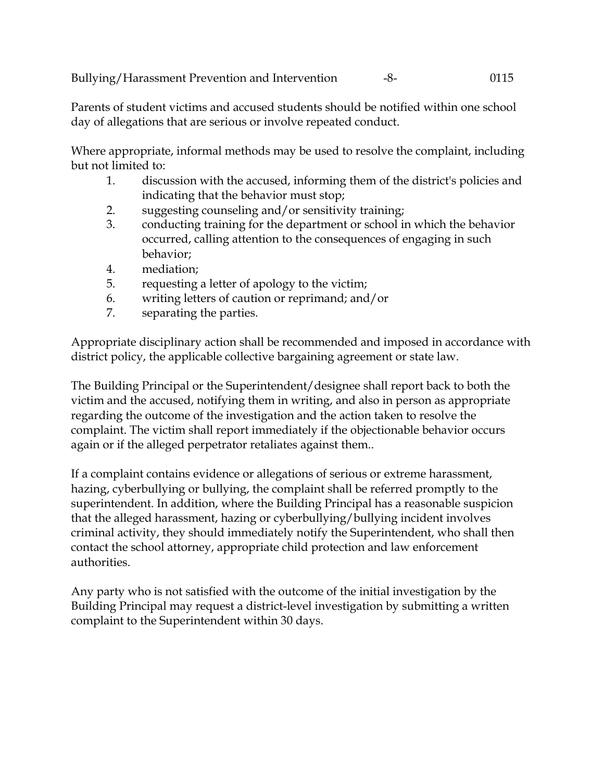Bullying/Harassment Prevention and Intervention -8- 0115

Parents of student victims and accused students should be notified within one school day of allegations that are serious or involve repeated conduct.

Where appropriate, informal methods may be used to resolve the complaint, including but not limited to:

- 1. discussion with the accused, informing them of the district's policies and indicating that the behavior must stop;
- 2. suggesting counseling and/or sensitivity training;
- 3. conducting training for the department or school in which the behavior occurred, calling attention to the consequences of engaging in such behavior;
- 4. mediation;
- 5. requesting a letter of apology to the victim;
- 6. writing letters of caution or reprimand; and/or
- 7. separating the parties.

Appropriate disciplinary action shall be recommended and imposed in accordance with district policy, the applicable collective bargaining agreement or state law.

The Building Principal or the Superintendent/designee shall report back to both the victim and the accused, notifying them in writing, and also in person as appropriate regarding the outcome of the investigation and the action taken to resolve the complaint. The victim shall report immediately if the objectionable behavior occurs again or if the alleged perpetrator retaliates against them..

If a complaint contains evidence or allegations of serious or extreme harassment, hazing, cyberbullying or bullying, the complaint shall be referred promptly to the superintendent. In addition, where the Building Principal has a reasonable suspicion that the alleged harassment, hazing or cyberbullying/bullying incident involves criminal activity, they should immediately notify the Superintendent, who shall then contact the school attorney, appropriate child protection and law enforcement authorities.

Any party who is not satisfied with the outcome of the initial investigation by the Building Principal may request a district-level investigation by submitting a written complaint to the Superintendent within 30 days.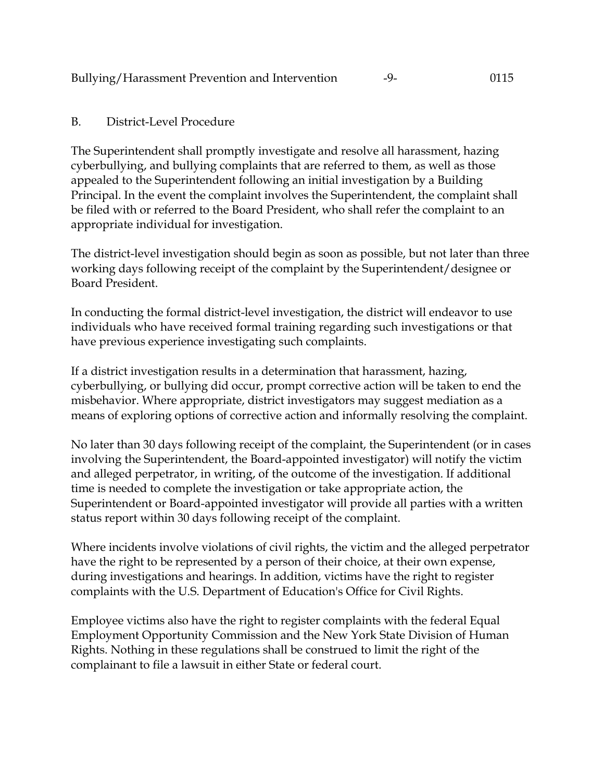### B. District-Level Procedure

The Superintendent shall promptly investigate and resolve all harassment, hazing cyberbullying, and bullying complaints that are referred to them, as well as those appealed to the Superintendent following an initial investigation by a Building Principal. In the event the complaint involves the Superintendent, the complaint shall be filed with or referred to the Board President, who shall refer the complaint to an appropriate individual for investigation.

The district-level investigation should begin as soon as possible, but not later than three working days following receipt of the complaint by the Superintendent/designee or Board President.

In conducting the formal district-level investigation, the district will endeavor to use individuals who have received formal training regarding such investigations or that have previous experience investigating such complaints.

If a district investigation results in a determination that harassment, hazing, cyberbullying, or bullying did occur, prompt corrective action will be taken to end the misbehavior. Where appropriate, district investigators may suggest mediation as a means of exploring options of corrective action and informally resolving the complaint.

No later than 30 days following receipt of the complaint, the Superintendent (or in cases involving the Superintendent, the Board-appointed investigator) will notify the victim and alleged perpetrator, in writing, of the outcome of the investigation. If additional time is needed to complete the investigation or take appropriate action, the Superintendent or Board-appointed investigator will provide all parties with a written status report within 30 days following receipt of the complaint.

Where incidents involve violations of civil rights, the victim and the alleged perpetrator have the right to be represented by a person of their choice, at their own expense, during investigations and hearings. In addition, victims have the right to register complaints with the U.S. Department of Education's Office for Civil Rights.

Employee victims also have the right to register complaints with the federal Equal Employment Opportunity Commission and the New York State Division of Human Rights. Nothing in these regulations shall be construed to limit the right of the complainant to file a lawsuit in either State or federal court.